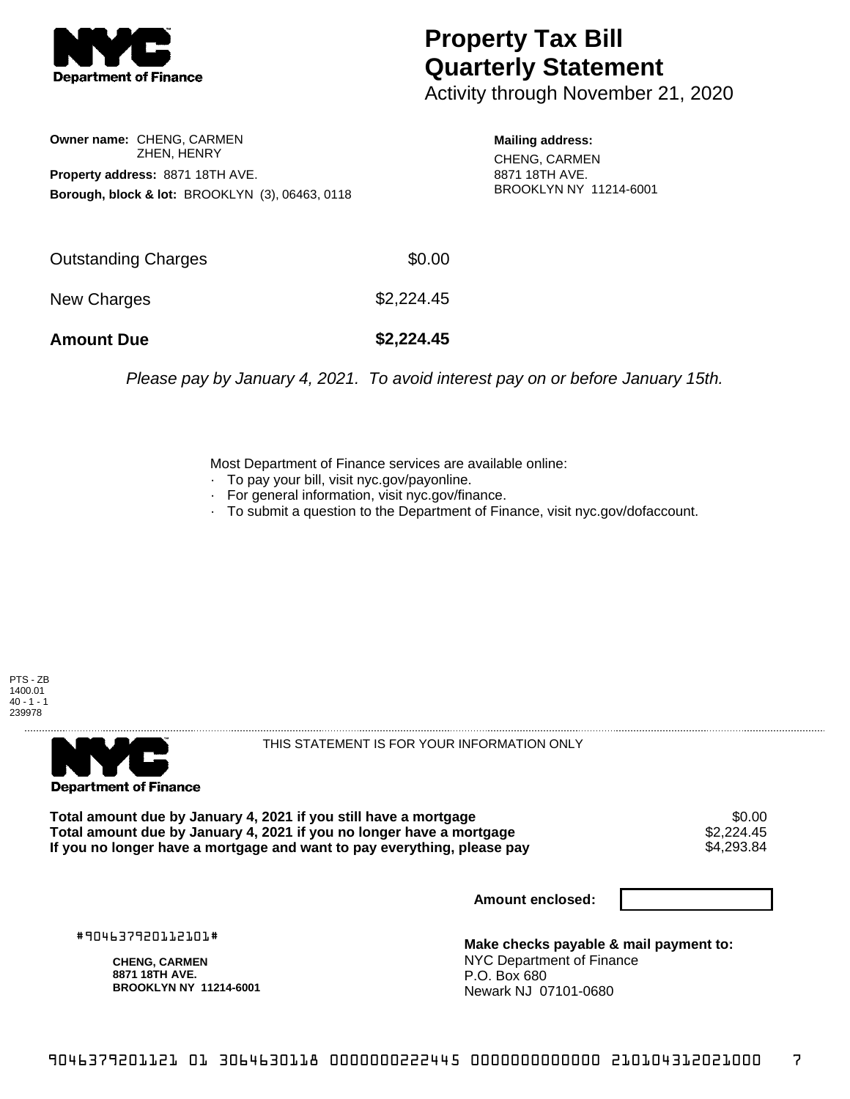

## **Property Tax Bill Quarterly Statement**

Activity through November 21, 2020

**Owner name:** CHENG, CARMEN ZHEN, HENRY **Property address:** 8871 18TH AVE. **Borough, block & lot:** BROOKLYN (3), 06463, 0118

**Mailing address:** CHENG, CARMEN 8871 18TH AVE. BROOKLYN NY 11214-6001

Please pay by January 4, 2021. To avoid interest pay on or before January 15th.

Most Department of Finance services are available online:

- · To pay your bill, visit nyc.gov/payonline.
- For general information, visit nyc.gov/finance.
- · To submit a question to the Department of Finance, visit nyc.gov/dofaccount.





THIS STATEMENT IS FOR YOUR INFORMATION ONLY

Total amount due by January 4, 2021 if you still have a mortgage \$0.00<br>Total amount due by January 4, 2021 if you no longer have a mortgage \$2.224.45 **Total amount due by January 4, 2021 if you no longer have a mortgage**  $$2,224.45$ **<br>If you no longer have a mortgage and want to pay everything, please pay**  $$4,293.84$ If you no longer have a mortgage and want to pay everything, please pay

**Amount enclosed:**

#904637920112101#

**CHENG, CARMEN 8871 18TH AVE. BROOKLYN NY 11214-6001**

**Make checks payable & mail payment to:** NYC Department of Finance P.O. Box 680 Newark NJ 07101-0680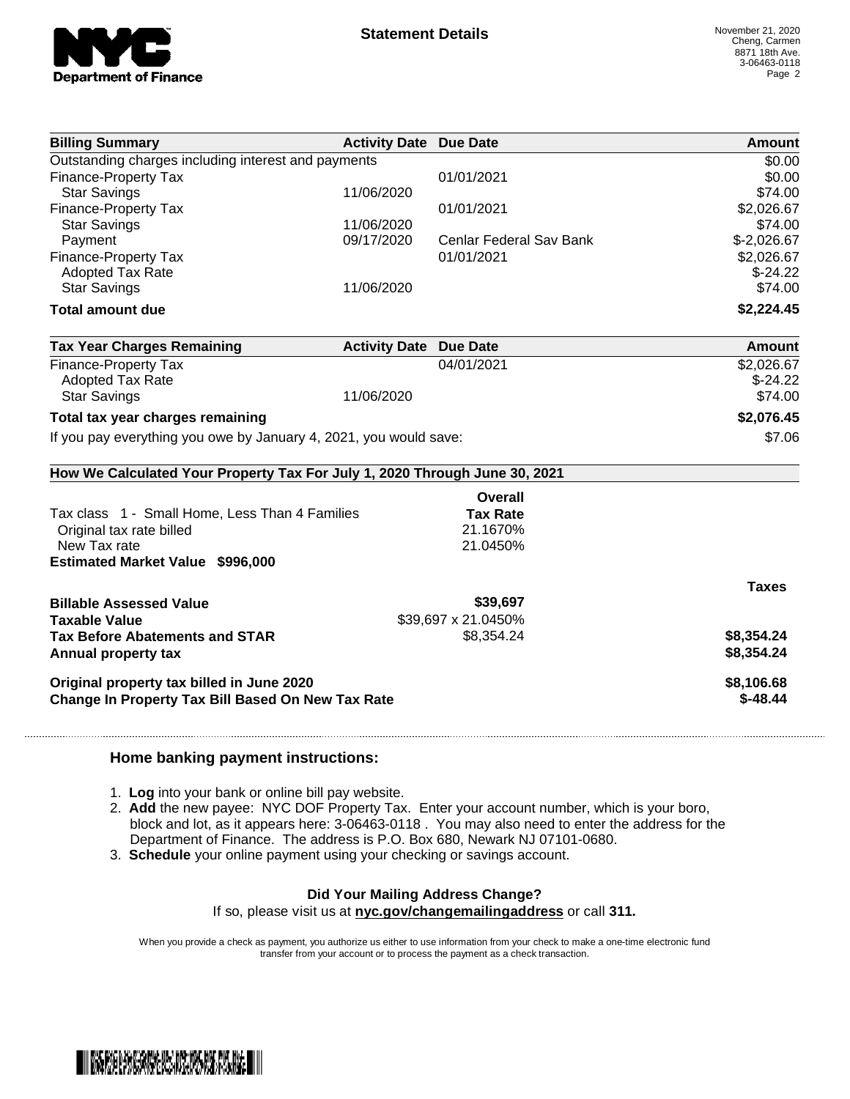

| <b>Billing Summary</b>                                                     | <b>Activity Date Due Date</b> |                         | Amount       |
|----------------------------------------------------------------------------|-------------------------------|-------------------------|--------------|
| Outstanding charges including interest and payments                        |                               |                         | \$0.00       |
| <b>Finance-Property Tax</b>                                                |                               | 01/01/2021              | \$0.00       |
| <b>Star Savings</b>                                                        | 11/06/2020                    |                         | \$74.00      |
| Finance-Property Tax                                                       |                               | 01/01/2021              | \$2,026.67   |
| <b>Star Savings</b>                                                        | 11/06/2020                    |                         | \$74.00      |
| Payment                                                                    | 09/17/2020                    | Cenlar Federal Sav Bank | $$-2,026.67$ |
| <b>Finance-Property Tax</b>                                                |                               | 01/01/2021              | \$2,026.67   |
| <b>Adopted Tax Rate</b>                                                    |                               |                         | $$-24.22$    |
| <b>Star Savings</b>                                                        | 11/06/2020                    |                         | \$74.00      |
| <b>Total amount due</b>                                                    |                               |                         | \$2,224.45   |
| <b>Tax Year Charges Remaining</b>                                          | <b>Activity Date Due Date</b> |                         | Amount       |
| <b>Finance-Property Tax</b>                                                |                               | 04/01/2021              | \$2,026.67   |
| <b>Adopted Tax Rate</b>                                                    |                               |                         | $$-24.22$    |
| <b>Star Savings</b>                                                        | 11/06/2020                    |                         | \$74.00      |
| Total tax year charges remaining                                           | \$2,076.45                    |                         |              |
| If you pay everything you owe by January 4, 2021, you would save:          | \$7.06                        |                         |              |
| How We Calculated Your Property Tax For July 1, 2020 Through June 30, 2021 |                               |                         |              |
|                                                                            |                               | Overall                 |              |
| Tax class 1 - Small Home, Less Than 4 Families                             |                               | <b>Tax Rate</b>         |              |
| Original tax rate billed                                                   |                               | 21.1670%                |              |
| New Tax rate                                                               |                               | 21.0450%                |              |
| Estimated Market Value \$996,000                                           |                               |                         |              |
|                                                                            |                               |                         | <b>Taxes</b> |
| <b>Billable Assessed Value</b>                                             |                               | \$39,697                |              |
| <b>Taxable Value</b>                                                       |                               | \$39,697 x 21.0450%     |              |
| <b>Tax Before Abatements and STAR</b>                                      |                               | \$8,354.24              | \$8,354.24   |
| Annual property tax                                                        |                               |                         | \$8,354.24   |
| Original property tax billed in June 2020                                  |                               |                         | \$8,106.68   |
| Change In Property Tax Bill Based On New Tax Rate                          | $$-48.44$                     |                         |              |

## **Home banking payment instructions:**

- 1. **Log** into your bank or online bill pay website.
- 2. **Add** the new payee: NYC DOF Property Tax. Enter your account number, which is your boro, block and lot, as it appears here: 3-06463-0118 . You may also need to enter the address for the Department of Finance. The address is P.O. Box 680, Newark NJ 07101-0680.
- 3. **Schedule** your online payment using your checking or savings account.

## **Did Your Mailing Address Change?**

If so, please visit us at **nyc.gov/changemailingaddress** or call **311.**

When you provide a check as payment, you authorize us either to use information from your check to make a one-time electronic fund transfer from your account or to process the payment as a check transaction.